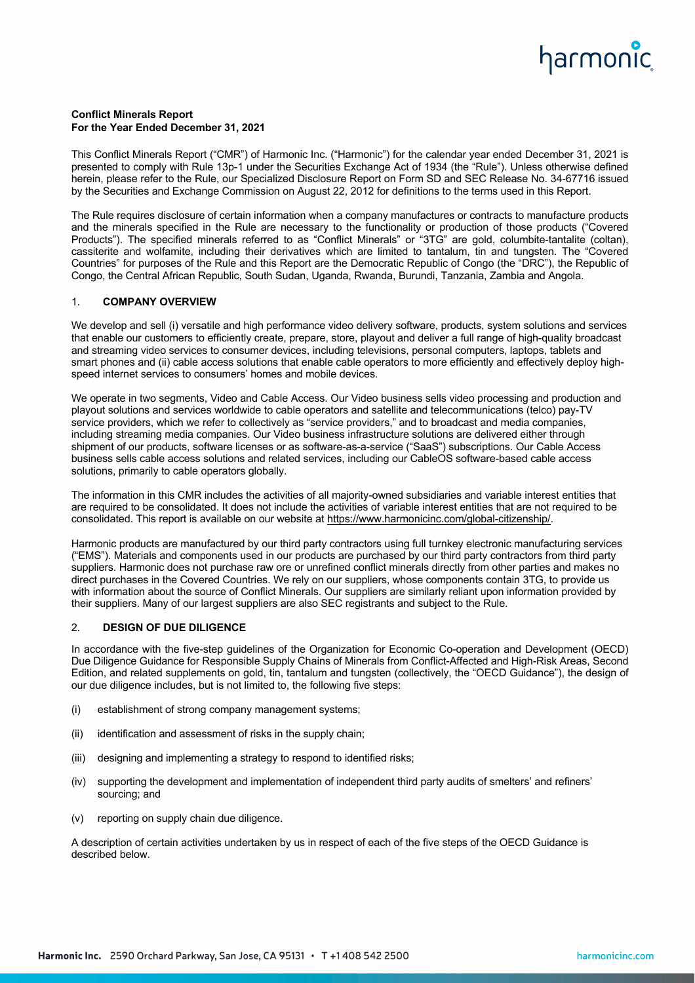# harmonic

# **Conflict Minerals Report For the Year Ended December 31, 2021**

This Conflict Minerals Report ("CMR") of Harmonic Inc. ("Harmonic") for the calendar year ended December 31, 2021 is presented to comply with Rule 13p-1 under the Securities Exchange Act of 1934 (the "Rule"). Unless otherwise defined herein, please refer to the Rule, our Specialized Disclosure Report on Form SD and SEC Release No. 34-67716 issued by the Securities and Exchange Commission on August 22, 2012 for definitions to the terms used in this Report.

The Rule requires disclosure of certain information when a company manufactures or contracts to manufacture products and the minerals specified in the Rule are necessary to the functionality or production of those products ("Covered Products"). The specified minerals referred to as "Conflict Minerals" or "3TG" are gold, columbite-tantalite (coltan), cassiterite and wolfamite, including their derivatives which are limited to tantalum, tin and tungsten. The "Covered Countries" for purposes of the Rule and this Report are the Democratic Republic of Congo (the "DRC"), the Republic of Congo, the Central African Republic, South Sudan, Uganda, Rwanda, Burundi, Tanzania, Zambia and Angola.

# 1. **COMPANY OVERVIEW**

We develop and sell (i) versatile and high performance video delivery software, products, system solutions and services that enable our customers to efficiently create, prepare, store, playout and deliver a full range of high-quality broadcast and streaming video services to consumer devices, including televisions, personal computers, laptops, tablets and smart phones and (ii) cable access solutions that enable cable operators to more efficiently and effectively deploy highspeed internet services to consumers' homes and mobile devices.

We operate in two segments, Video and Cable Access. Our Video business sells video processing and production and playout solutions and services worldwide to cable operators and satellite and telecommunications (telco) pay-TV service providers, which we refer to collectively as "service providers," and to broadcast and media companies, including streaming media companies. Our Video business infrastructure solutions are delivered either through shipment of our products, software licenses or as software-as-a-service ("SaaS") subscriptions. Our Cable Access business sells cable access solutions and related services, including our CableOS software-based cable access solutions, primarily to cable operators globally.

The information in this CMR includes the activities of all majority-owned subsidiaries and variable interest entities that are required to be consolidated. It does not include the activities of variable interest entities that are not required to be consolidated. This report is available on our website at https://www.harmonicinc.com/global-citizenship/.

Harmonic products are manufactured by our third party contractors using full turnkey electronic manufacturing services ("EMS"). Materials and components used in our products are purchased by our third party contractors from third party suppliers. Harmonic does not purchase raw ore or unrefined conflict minerals directly from other parties and makes no direct purchases in the Covered Countries. We rely on our suppliers, whose components contain 3TG, to provide us with information about the source of Conflict Minerals. Our suppliers are similarly reliant upon information provided by their suppliers. Many of our largest suppliers are also SEC registrants and subject to the Rule.

### 2. **DESIGN OF DUE DILIGENCE**

In accordance with the five-step guidelines of the Organization for Economic Co-operation and Development (OECD) Due Diligence Guidance for Responsible Supply Chains of Minerals from Conflict-Affected and High-Risk Areas, Second Edition, and related supplements on gold, tin, tantalum and tungsten (collectively, the "OECD Guidance"), the design of our due diligence includes, but is not limited to, the following five steps:

- (i) establishment of strong company management systems;
- (ii) identification and assessment of risks in the supply chain;
- (iii) designing and implementing a strategy to respond to identified risks;
- (iv) supporting the development and implementation of independent third party audits of smelters' and refiners' sourcing; and
- (v) reporting on supply chain due diligence.

A description of certain activities undertaken by us in respect of each of the five steps of the OECD Guidance is described below.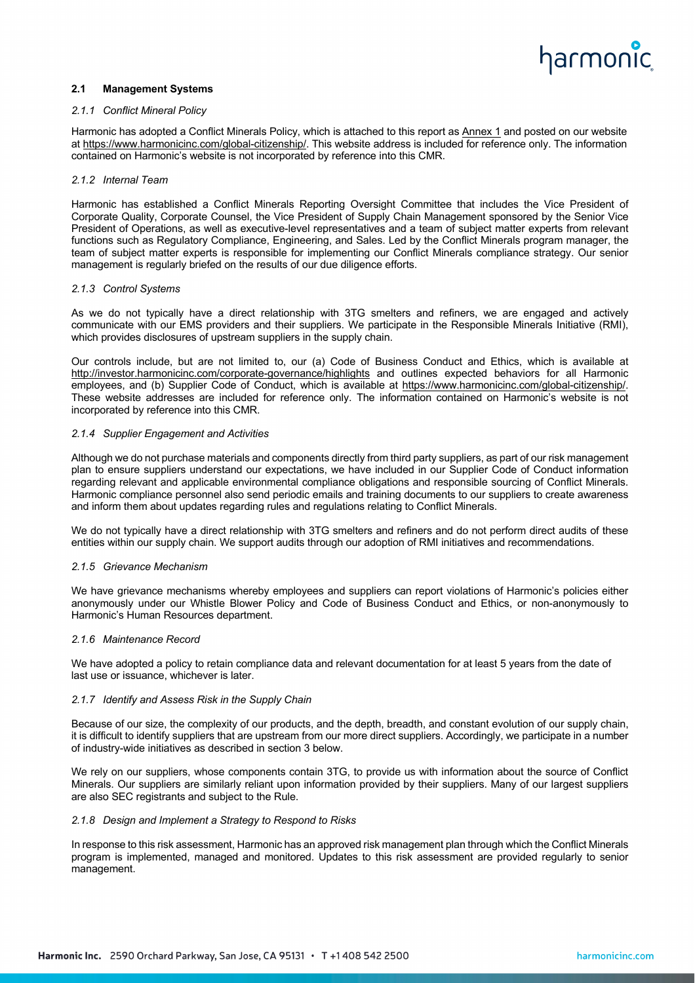# harmonic

## **2.1 Management Systems**

### *2.1.1 Conflict Mineral Policy*

Harmonic has adopted a Conflict Minerals Policy, which is attached to this report as Annex 1 and posted on our website at https://www.harmonicinc.com/global-citizenship/. This website address is included for reference only. The information contained on Harmonic's website is not incorporated by reference into this CMR.

### *2.1.2 Internal Team*

Harmonic has established a Conflict Minerals Reporting Oversight Committee that includes the Vice President of Corporate Quality, Corporate Counsel, the Vice President of Supply Chain Management sponsored by the Senior Vice President of Operations, as well as executive-level representatives and a team of subject matter experts from relevant functions such as Regulatory Compliance, Engineering, and Sales. Led by the Conflict Minerals program manager, the team of subject matter experts is responsible for implementing our Conflict Minerals compliance strategy. Our senior management is regularly briefed on the results of our due diligence efforts.

### *2.1.3 Control Systems*

As we do not typically have a direct relationship with 3TG smelters and refiners, we are engaged and actively communicate with our EMS providers and their suppliers. We participate in the Responsible Minerals Initiative (RMI), which provides disclosures of upstream suppliers in the supply chain.

Our controls include, but are not limited to, our (a) Code of Business Conduct and Ethics, which is available at http://investor.harmonicinc.com/corporate-governance/highlights and outlines expected behaviors for all Harmonic employees, and (b) Supplier Code of Conduct, which is available at https://www.harmonicinc.com/global-citizenship/. These website addresses are included for reference only. The information contained on Harmonic's website is not incorporated by reference into this CMR.

### *2.1.4 Supplier Engagement and Activities*

Although we do not purchase materials and components directly from third party suppliers, as part of our risk management plan to ensure suppliers understand our expectations, we have included in our Supplier Code of Conduct information regarding relevant and applicable environmental compliance obligations and responsible sourcing of Conflict Minerals. Harmonic compliance personnel also send periodic emails and training documents to our suppliers to create awareness and inform them about updates regarding rules and regulations relating to Conflict Minerals.

We do not typically have a direct relationship with 3TG smelters and refiners and do not perform direct audits of these entities within our supply chain. We support audits through our adoption of RMI initiatives and recommendations.

### *2.1.5 Grievance Mechanism*

We have grievance mechanisms whereby employees and suppliers can report violations of Harmonic's policies either anonymously under our Whistle Blower Policy and Code of Business Conduct and Ethics, or non-anonymously to Harmonic's Human Resources department.

### *2.1.6 Maintenance Record*

We have adopted a policy to retain compliance data and relevant documentation for at least 5 years from the date of last use or issuance, whichever is later.

### *2.1.7 Identify and Assess Risk in the Supply Chain*

Because of our size, the complexity of our products, and the depth, breadth, and constant evolution of our supply chain, it is difficult to identify suppliers that are upstream from our more direct suppliers. Accordingly, we participate in a number of industry-wide initiatives as described in section 3 below.

We rely on our suppliers, whose components contain 3TG, to provide us with information about the source of Conflict Minerals. Our suppliers are similarly reliant upon information provided by their suppliers. Many of our largest suppliers are also SEC registrants and subject to the Rule.

### *2.1.8 Design and Implement a Strategy to Respond to Risks*

In response to this risk assessment, Harmonic has an approved risk management plan through which the Conflict Minerals program is implemented, managed and monitored. Updates to this risk assessment are provided regularly to senior management.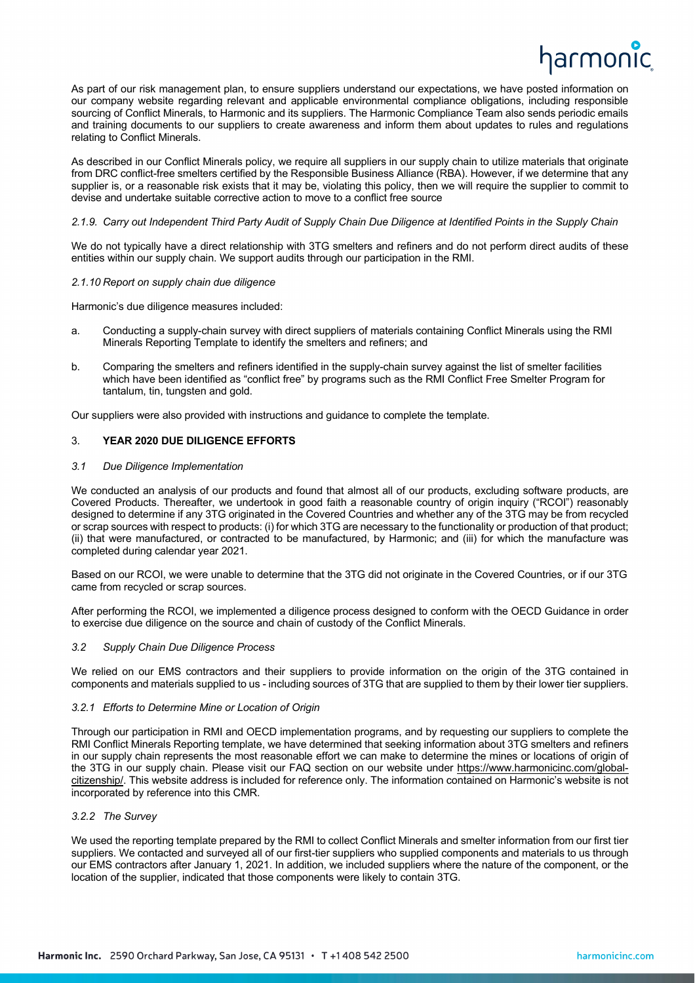# narmonic

As part of our risk management plan, to ensure suppliers understand our expectations, we have posted information on our company website regarding relevant and applicable environmental compliance obligations, including responsible sourcing of Conflict Minerals, to Harmonic and its suppliers. The Harmonic Compliance Team also sends periodic emails and training documents to our suppliers to create awareness and inform them about updates to rules and regulations relating to Conflict Minerals.

As described in our Conflict Minerals policy, we require all suppliers in our supply chain to utilize materials that originate from DRC conflict-free smelters certified by the Responsible Business Alliance (RBA). However, if we determine that any supplier is, or a reasonable risk exists that it may be, violating this policy, then we will require the supplier to commit to devise and undertake suitable corrective action to move to a conflict free source

### *2.1.9. Carry out Independent Third Party Audit of Supply Chain Due Diligence at Identified Points in the Supply Chain*

We do not typically have a direct relationship with 3TG smelters and refiners and do not perform direct audits of these entities within our supply chain. We support audits through our participation in the RMI.

### *2.1.10 Report on supply chain due diligence*

Harmonic's due diligence measures included:

- a. Conducting a supply-chain survey with direct suppliers of materials containing Conflict Minerals using the RMI Minerals Reporting Template to identify the smelters and refiners; and
- b. Comparing the smelters and refiners identified in the supply-chain survey against the list of smelter facilities which have been identified as "conflict free" by programs such as the RMI Conflict Free Smelter Program for tantalum, tin, tungsten and gold.

Our suppliers were also provided with instructions and guidance to complete the template.

## 3. **YEAR 2020 DUE DILIGENCE EFFORTS**

### *3.1 Due Diligence Implementation*

We conducted an analysis of our products and found that almost all of our products, excluding software products, are Covered Products. Thereafter, we undertook in good faith a reasonable country of origin inquiry ("RCOI") reasonably designed to determine if any 3TG originated in the Covered Countries and whether any of the 3TG may be from recycled or scrap sources with respect to products: (i) for which 3TG are necessary to the functionality or production of that product; (ii) that were manufactured, or contracted to be manufactured, by Harmonic; and (iii) for which the manufacture was completed during calendar year 2021.

Based on our RCOI, we were unable to determine that the 3TG did not originate in the Covered Countries, or if our 3TG came from recycled or scrap sources.

After performing the RCOI, we implemented a diligence process designed to conform with the OECD Guidance in order to exercise due diligence on the source and chain of custody of the Conflict Minerals.

### *3.2 Supply Chain Due Diligence Process*

We relied on our EMS contractors and their suppliers to provide information on the origin of the 3TG contained in components and materials supplied to us - including sources of 3TG that are supplied to them by their lower tier suppliers.

### *3.2.1 Efforts to Determine Mine or Location of Origin*

Through our participation in RMI and OECD implementation programs, and by requesting our suppliers to complete the RMI Conflict Minerals Reporting template, we have determined that seeking information about 3TG smelters and refiners in our supply chain represents the most reasonable effort we can make to determine the mines or locations of origin of the 3TG in our supply chain. Please visit our FAQ section on our website under https://www.harmonicinc.com/globalcitizenship/. This website address is included for reference only. The information contained on Harmonic's website is not incorporated by reference into this CMR.

### *3.2.2 The Survey*

We used the reporting template prepared by the RMI to collect Conflict Minerals and smelter information from our first tier suppliers. We contacted and surveyed all of our first-tier suppliers who supplied components and materials to us through our EMS contractors after January 1, 2021. In addition, we included suppliers where the nature of the component, or the location of the supplier, indicated that those components were likely to contain 3TG.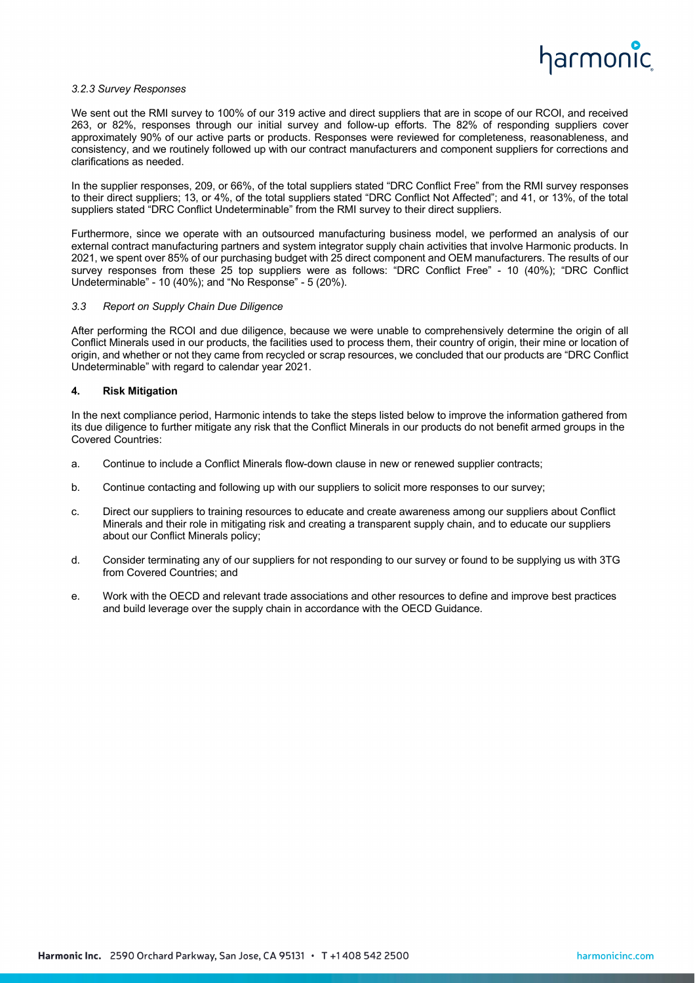

### *3.2.3 Survey Responses*

We sent out the RMI survey to 100% of our 319 active and direct suppliers that are in scope of our RCOI, and received 263, or 82%, responses through our initial survey and follow-up efforts. The 82% of responding suppliers cover approximately 90% of our active parts or products. Responses were reviewed for completeness, reasonableness, and consistency, and we routinely followed up with our contract manufacturers and component suppliers for corrections and clarifications as needed.

In the supplier responses, 209, or 66%, of the total suppliers stated "DRC Conflict Free" from the RMI survey responses to their direct suppliers; 13, or 4%, of the total suppliers stated "DRC Conflict Not Affected"; and 41, or 13%, of the total suppliers stated "DRC Conflict Undeterminable" from the RMI survey to their direct suppliers.

Furthermore, since we operate with an outsourced manufacturing business model, we performed an analysis of our external contract manufacturing partners and system integrator supply chain activities that involve Harmonic products. In 2021, we spent over 85% of our purchasing budget with 25 direct component and OEM manufacturers. The results of our survey responses from these 25 top suppliers were as follows: "DRC Conflict Free" - 10 (40%); "DRC Conflict Undeterminable" - 10 (40%); and "No Response" - 5 (20%).

#### *3.3 Report on Supply Chain Due Diligence*

After performing the RCOI and due diligence, because we were unable to comprehensively determine the origin of all Conflict Minerals used in our products, the facilities used to process them, their country of origin, their mine or location of origin, and whether or not they came from recycled or scrap resources, we concluded that our products are "DRC Conflict Undeterminable" with regard to calendar year 2021.

### **4. Risk Mitigation**

In the next compliance period, Harmonic intends to take the steps listed below to improve the information gathered from its due diligence to further mitigate any risk that the Conflict Minerals in our products do not benefit armed groups in the Covered Countries:

- a. Continue to include a Conflict Minerals flow-down clause in new or renewed supplier contracts;
- b. Continue contacting and following up with our suppliers to solicit more responses to our survey;
- c. Direct our suppliers to training resources to educate and create awareness among our suppliers about Conflict Minerals and their role in mitigating risk and creating a transparent supply chain, and to educate our suppliers about our Conflict Minerals policy;
- d. Consider terminating any of our suppliers for not responding to our survey or found to be supplying us with 3TG from Covered Countries; and
- e. Work with the OECD and relevant trade associations and other resources to define and improve best practices and build leverage over the supply chain in accordance with the OECD Guidance.